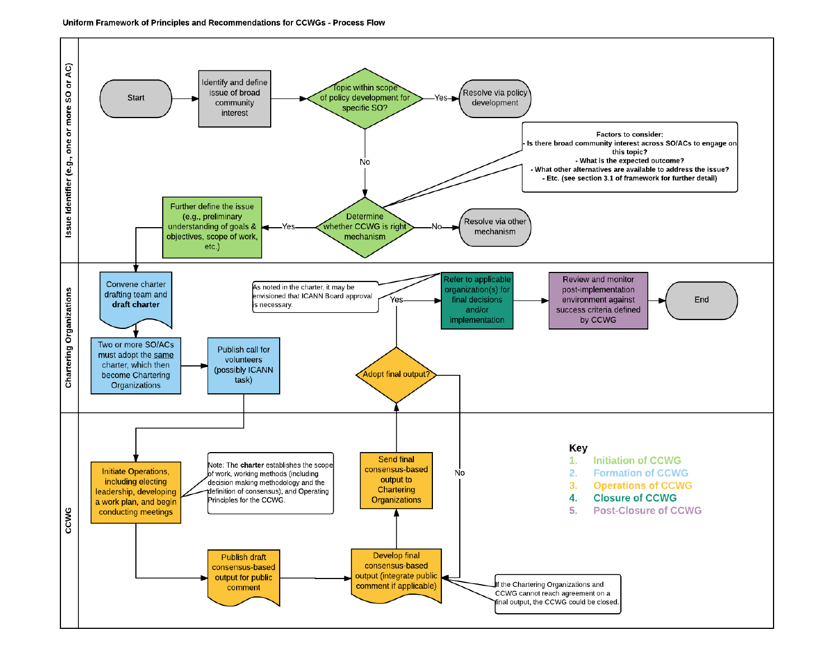#### Uniform Framework of Principles and Recommendations for CCWGs - Process Flow

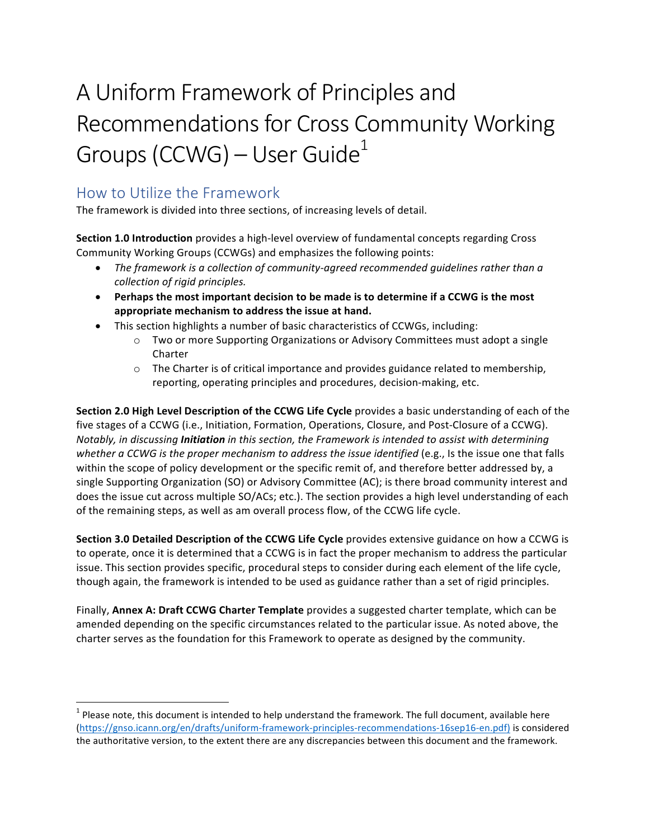# A Uniform Framework of Principles and Recommendations for Cross Community Working Groups (CCWG) – User Guide<sup>1</sup>

### How to Utilize the Framework

The framework is divided into three sections, of increasing levels of detail.

**Section 1.0 Introduction** provides a high-level overview of fundamental concepts regarding Cross Community Working Groups (CCWGs) and emphasizes the following points:

- The framework is a collection of community-agreed recommended guidelines rather than a *collection of rigid principles.*
- Perhaps the most important decision to be made is to determine if a CCWG is the most appropriate mechanism to address the issue at hand.
- This section highlights a number of basic characteristics of CCWGs, including:
	- $\circ$  Two or more Supporting Organizations or Advisory Committees must adopt a single Charter
	- $\circ$  The Charter is of critical importance and provides guidance related to membership, reporting, operating principles and procedures, decision-making, etc.

**Section 2.0 High Level Description of the CCWG Life Cycle provides a basic understanding of each of the** five stages of a CCWG (i.e., Initiation, Formation, Operations, Closure, and Post-Closure of a CCWG). *Notably, in discussing Initiation* in this section, the Framework is intended to assist with determining whether a CCWG is the proper mechanism to address the issue *identified* (e.g., Is the issue one that falls within the scope of policy development or the specific remit of, and therefore better addressed by, a single Supporting Organization (SO) or Advisory Committee (AC); is there broad community interest and does the issue cut across multiple SO/ACs; etc.). The section provides a high level understanding of each of the remaining steps, as well as am overall process flow, of the CCWG life cycle.

**Section 3.0 Detailed Description of the CCWG Life Cycle** provides extensive guidance on how a CCWG is to operate, once it is determined that a CCWG is in fact the proper mechanism to address the particular issue. This section provides specific, procedural steps to consider during each element of the life cycle, though again, the framework is intended to be used as guidance rather than a set of rigid principles.

Finally, **Annex A: Draft CCWG Charter Template** provides a suggested charter template, which can be amended depending on the specific circumstances related to the particular issue. As noted above, the charter serves as the foundation for this Framework to operate as designed by the community.

 $1$  Please note, this document is intended to help understand the framework. The full document, available here (https://gnso.icann.org/en/drafts/uniform-framework-principles-recommendations-16sep16-en.pdf) is considered the authoritative version, to the extent there are any discrepancies between this document and the framework.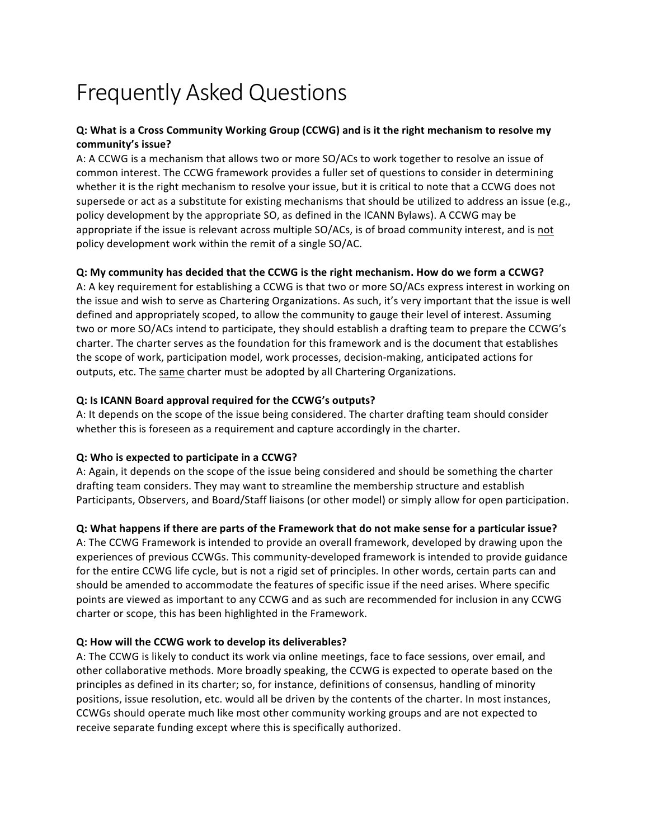## Frequently Asked Questions

### **Q:** What is a Cross Community Working Group (CCWG) and is it the right mechanism to resolve my community's issue?

A: A CCWG is a mechanism that allows two or more SO/ACs to work together to resolve an issue of common interest. The CCWG framework provides a fuller set of questions to consider in determining whether it is the right mechanism to resolve your issue, but it is critical to note that a CCWG does not supersede or act as a substitute for existing mechanisms that should be utilized to address an issue (e.g., policy development by the appropriate SO, as defined in the ICANN Bylaws). A CCWG may be appropriate if the issue is relevant across multiple SO/ACs, is of broad community interest, and is not policy development work within the remit of a single SO/AC.

#### **Q: My community has decided that the CCWG is the right mechanism. How do we form a CCWG?**

A: A key requirement for establishing a CCWG is that two or more SO/ACs express interest in working on the issue and wish to serve as Chartering Organizations. As such, it's very important that the issue is well defined and appropriately scoped, to allow the community to gauge their level of interest. Assuming two or more SO/ACs intend to participate, they should establish a drafting team to prepare the CCWG's charter. The charter serves as the foundation for this framework and is the document that establishes the scope of work, participation model, work processes, decision-making, anticipated actions for outputs, etc. The same charter must be adopted by all Chartering Organizations.

#### **Q:** Is ICANN Board approval required for the CCWG's outputs?

A: It depends on the scope of the issue being considered. The charter drafting team should consider whether this is foreseen as a requirement and capture accordingly in the charter.

### **Q: Who is expected to participate in a CCWG?**

A: Again, it depends on the scope of the issue being considered and should be something the charter drafting team considers. They may want to streamline the membership structure and establish Participants, Observers, and Board/Staff liaisons (or other model) or simply allow for open participation.

### **Q:** What happens if there are parts of the Framework that do not make sense for a particular issue?

A: The CCWG Framework is intended to provide an overall framework, developed by drawing upon the experiences of previous CCWGs. This community-developed framework is intended to provide guidance for the entire CCWG life cycle, but is not a rigid set of principles. In other words, certain parts can and should be amended to accommodate the features of specific issue if the need arises. Where specific points are viewed as important to any CCWG and as such are recommended for inclusion in any CCWG charter or scope, this has been highlighted in the Framework.

### **Q: How will the CCWG work to develop its deliverables?**

A: The CCWG is likely to conduct its work via online meetings, face to face sessions, over email, and other collaborative methods. More broadly speaking, the CCWG is expected to operate based on the principles as defined in its charter; so, for instance, definitions of consensus, handling of minority positions, issue resolution, etc. would all be driven by the contents of the charter. In most instances, CCWGs should operate much like most other community working groups and are not expected to receive separate funding except where this is specifically authorized.